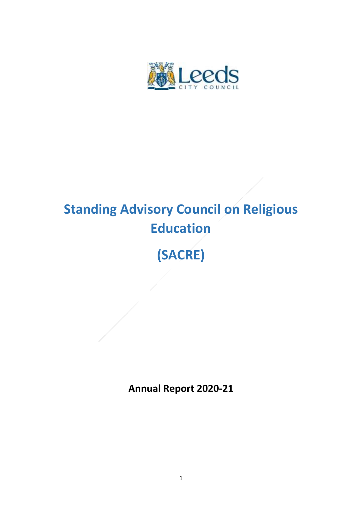

# **Standing Advisory Council on Religious Education (SACRE)**

**Annual Report 2020-21**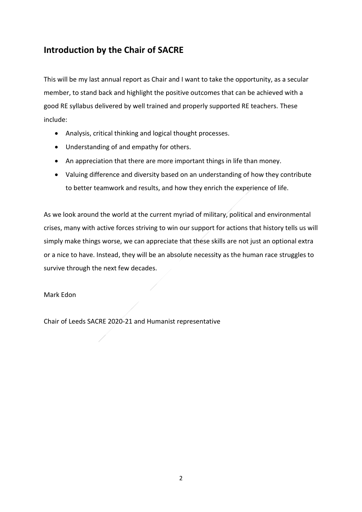### **Introduction by the Chair of SACRE**

This will be my last annual report as Chair and I want to take the opportunity, as a secular member, to stand back and highlight the positive outcomes that can be achieved with a good RE syllabus delivered by well trained and properly supported RE teachers. These include:

- Analysis, critical thinking and logical thought processes.
- Understanding of and empathy for others.
- An appreciation that there are more important things in life than money.
- Valuing difference and diversity based on an understanding of how they contribute to better teamwork and results, and how they enrich the experience of life.

As we look around the world at the current myriad of military, political and environmental crises, many with active forces striving to win our support for actions that history tells us will simply make things worse, we can appreciate that these skills are not just an optional extra or a nice to have. Instead, they will be an absolute necessity as the human race struggles to survive through the next few decades.

#### Mark Edon

Chair of Leeds SACRE 2020-21 and Humanist representative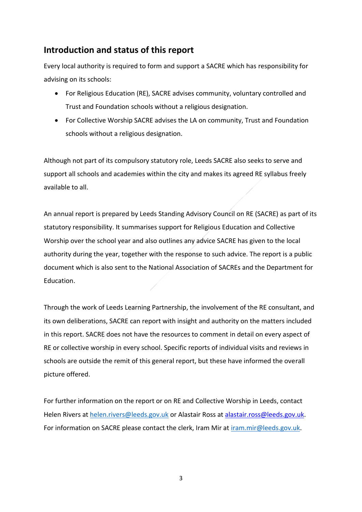#### **Introduction and status of this report**

Every local authority is required to form and support a SACRE which has responsibility for advising on its schools:

- For Religious Education (RE), SACRE advises community, voluntary controlled and Trust and Foundation schools without a religious designation.
- For Collective Worship SACRE advises the LA on community, Trust and Foundation schools without a religious designation.

Although not part of its compulsory statutory role, Leeds SACRE also seeks to serve and support all schools and academies within the city and makes its agreed RE syllabus freely available to all.

An annual report is prepared by Leeds Standing Advisory Council on RE (SACRE) as part of its statutory responsibility. It summarises support for Religious Education and Collective Worship over the school year and also outlines any advice SACRE has given to the local authority during the year, together with the response to such advice. The report is a public document which is also sent to the National Association of SACREs and the Department for Education.

Through the work of Leeds Learning Partnership, the involvement of the RE consultant, and its own deliberations, SACRE can report with insight and authority on the matters included in this report. SACRE does not have the resources to comment in detail on every aspect of RE or collective worship in every school. Specific reports of individual visits and reviews in schools are outside the remit of this general report, but these have informed the overall picture offered.

For further information on the report or on RE and Collective Worship in Leeds, contact Helen Rivers at [helen.rivers@leeds.gov.uk](mailto:helen.rivers@leeds.gov.uk) or Alastair Ross at [alastair.ross@leeds.gov.uk.](mailto:alastair.ross@leeds.gov.uk) For information on SACRE please contact the clerk, Iram Mir at [iram.mir@leeds.gov.uk.](mailto:iram.mir@leeds.gov.uk)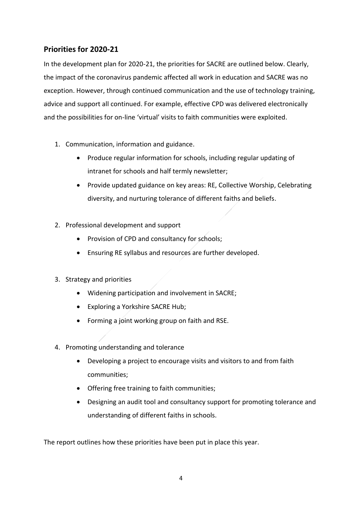#### **Priorities for 2020-21**

In the development plan for 2020-21, the priorities for SACRE are outlined below. Clearly, the impact of the coronavirus pandemic affected all work in education and SACRE was no exception. However, through continued communication and the use of technology training, advice and support all continued. For example, effective CPD was delivered electronically and the possibilities for on-line 'virtual' visits to faith communities were exploited.

- 1. Communication, information and guidance.
	- Produce regular information for schools, including regular updating of intranet for schools and half termly newsletter;
	- Provide updated guidance on key areas: RE, Collective Worship, Celebrating diversity, and nurturing tolerance of different faiths and beliefs.
- 2. Professional development and support
	- Provision of CPD and consultancy for schools;
	- Ensuring RE syllabus and resources are further developed.
- 3. Strategy and priorities
	- Widening participation and involvement in SACRE;
	- Exploring a Yorkshire SACRE Hub;
	- Forming a joint working group on faith and RSE.
- 4. Promoting understanding and tolerance
	- Developing a project to encourage visits and visitors to and from faith communities;
	- Offering free training to faith communities;
	- Designing an audit tool and consultancy support for promoting tolerance and understanding of different faiths in schools.

The report outlines how these priorities have been put in place this year.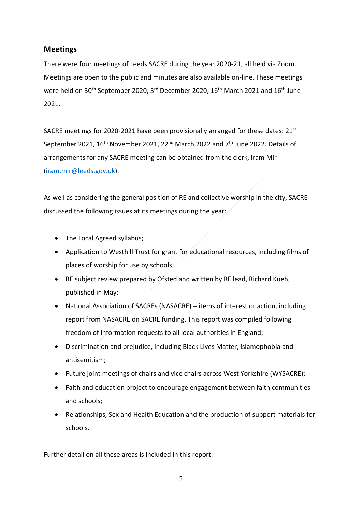#### **Meetings**

There were four meetings of Leeds SACRE during the year 2020-21, all held via Zoom. Meetings are open to the public and minutes are also available on-line. These meetings were held on 30<sup>th</sup> September 2020, 3<sup>rd</sup> December 2020, 16<sup>th</sup> March 2021 and 16<sup>th</sup> June 2021.

SACRE meetings for 2020-2021 have been provisionally arranged for these dates:  $21^{st}$ September 2021,  $16<sup>th</sup>$  November 2021, 22<sup>nd</sup> March 2022 and  $7<sup>th</sup>$  June 2022. Details of arrangements for any SACRE meeting can be obtained from the clerk, Iram Mir [\(iram.mir@leeds.gov.uk\)](mailto:iram.mir@leeds.gov.uk).

As well as considering the general position of RE and collective worship in the city, SACRE discussed the following issues at its meetings during the year:

- The Local Agreed syllabus;
- Application to Westhill Trust for grant for educational resources, including films of places of worship for use by schools;
- RE subject review prepared by Ofsted and written by RE lead, Richard Kueh, published in May;
- National Association of SACREs (NASACRE) items of interest or action, including report from NASACRE on SACRE funding. This report was compiled following freedom of information requests to all local authorities in England;
- Discrimination and prejudice, including Black Lives Matter, islamophobia and antisemitism;
- Future joint meetings of chairs and vice chairs across West Yorkshire (WYSACRE);
- Faith and education project to encourage engagement between faith communities and schools;
- Relationships, Sex and Health Education and the production of support materials for schools.

Further detail on all these areas is included in this report.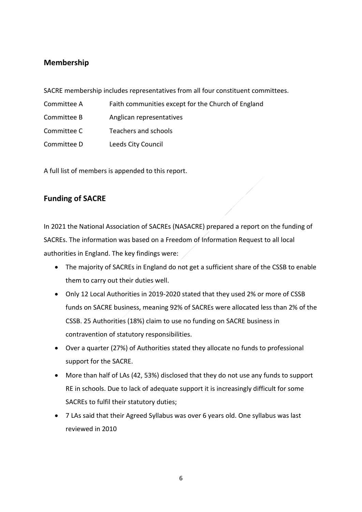#### **Membership**

SACRE membership includes representatives from all four constituent committees.

- Committee A Faith communities except for the Church of England
- Committee B Anglican representatives
- Committee C Teachers and schools
- Committee D Leeds City Council

A full list of members is appended to this report.

#### **Funding of SACRE**

In 2021 the National Association of SACREs (NASACRE) prepared a report on the funding of SACREs. The information was based on a Freedom of Information Request to all local authorities in England. The key findings were:

- The majority of SACREs in England do not get a sufficient share of the CSSB to enable them to carry out their duties well.
- Only 12 Local Authorities in 2019-2020 stated that they used 2% or more of CSSB funds on SACRE business, meaning 92% of SACREs were allocated less than 2% of the CSSB. 25 Authorities (18%) claim to use no funding on SACRE business in contravention of statutory responsibilities.
- Over a quarter (27%) of Authorities stated they allocate no funds to professional support for the SACRE.
- More than half of LAs (42, 53%) disclosed that they do not use any funds to support RE in schools. Due to lack of adequate support it is increasingly difficult for some SACREs to fulfil their statutory duties;
- 7 LAs said that their Agreed Syllabus was over 6 years old. One syllabus was last reviewed in 2010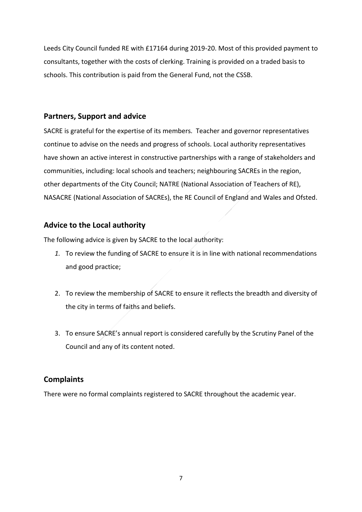Leeds City Council funded RE with £17164 during 2019-20. Most of this provided payment to consultants, together with the costs of clerking. Training is provided on a traded basis to schools. This contribution is paid from the General Fund, not the CSSB.

#### **Partners, Support and advice**

SACRE is grateful for the expertise of its members. Teacher and governor representatives continue to advise on the needs and progress of schools. Local authority representatives have shown an active interest in constructive partnerships with a range of stakeholders and communities, including: local schools and teachers; neighbouring SACREs in the region, other departments of the City Council; NATRE (National Association of Teachers of RE), NASACRE (National Association of SACREs), the RE Council of England and Wales and Ofsted.

#### **Advice to the Local authority**

The following advice is given by SACRE to the local authority:

- *1.* To review the funding of SACRE to ensure it is in line with national recommendations and good practice;
- 2. To review the membership of SACRE to ensure it reflects the breadth and diversity of the city in terms of faiths and beliefs.
- 3. To ensure SACRE's annual report is considered carefully by the Scrutiny Panel of the Council and any of its content noted.

#### **Complaints**

There were no formal complaints registered to SACRE throughout the academic year.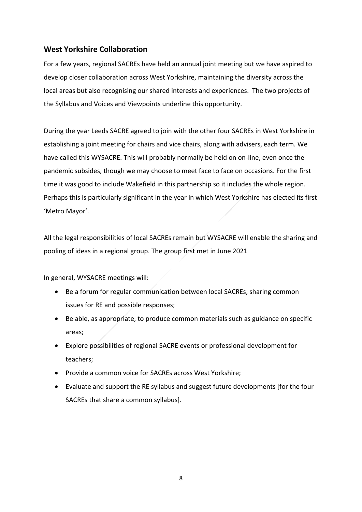#### **West Yorkshire Collaboration**

For a few years, regional SACREs have held an annual joint meeting but we have aspired to develop closer collaboration across West Yorkshire, maintaining the diversity across the local areas but also recognising our shared interests and experiences. The two projects of the Syllabus and Voices and Viewpoints underline this opportunity.

During the year Leeds SACRE agreed to join with the other four SACREs in West Yorkshire in establishing a joint meeting for chairs and vice chairs, along with advisers, each term. We have called this WYSACRE. This will probably normally be held on on-line, even once the pandemic subsides, though we may choose to meet face to face on occasions. For the first time it was good to include Wakefield in this partnership so it includes the whole region. Perhaps this is particularly significant in the year in which West Yorkshire has elected its first 'Metro Mayor'.

All the legal responsibilities of local SACREs remain but WYSACRE will enable the sharing and pooling of ideas in a regional group. The group first met in June 2021

In general, WYSACRE meetings will:

- Be a forum for regular communication between local SACREs, sharing common issues for RE and possible responses;
- Be able, as appropriate, to produce common materials such as guidance on specific areas;
- Explore possibilities of regional SACRE events or professional development for teachers;
- Provide a common voice for SACREs across West Yorkshire;
- Evaluate and support the RE syllabus and suggest future developments [for the four SACREs that share a common syllabus].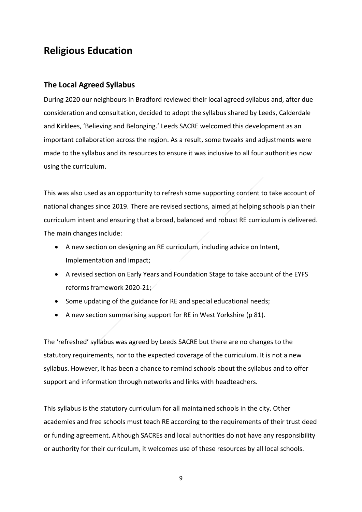## **Religious Education**

#### **The Local Agreed Syllabus**

During 2020 our neighbours in Bradford reviewed their local agreed syllabus and, after due consideration and consultation, decided to adopt the syllabus shared by Leeds, Calderdale and Kirklees, 'Believing and Belonging.' Leeds SACRE welcomed this development as an important collaboration across the region. As a result, some tweaks and adjustments were made to the syllabus and its resources to ensure it was inclusive to all four authorities now using the curriculum.

This was also used as an opportunity to refresh some supporting content to take account of national changes since 2019. There are revised sections, aimed at helping schools plan their curriculum intent and ensuring that a broad, balanced and robust RE curriculum is delivered. The main changes include:

- A new section on designing an RE curriculum, including advice on Intent, Implementation and Impact;
- A revised section on Early Years and Foundation Stage to take account of the EYFS reforms framework 2020-21;
- Some updating of the guidance for RE and special educational needs;
- A new section summarising support for RE in West Yorkshire (p 81).

The 'refreshed' syllabus was agreed by Leeds SACRE but there are no changes to the statutory requirements, nor to the expected coverage of the curriculum. It is not a new syllabus. However, it has been a chance to remind schools about the syllabus and to offer support and information through networks and links with headteachers.

This syllabus is the statutory curriculum for all maintained schools in the city. Other academies and free schools must teach RE according to the requirements of their trust deed or funding agreement. Although SACREs and local authorities do not have any responsibility or authority for their curriculum, it welcomes use of these resources by all local schools.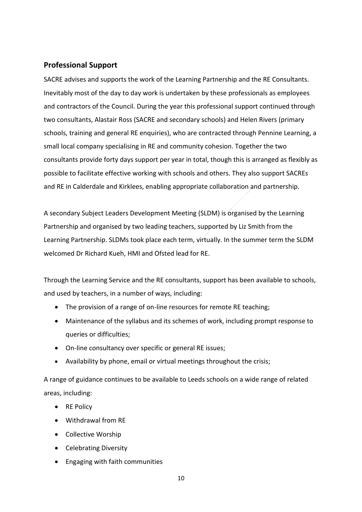#### **Professional Support**

SACRE advises and supports the work of the Learning Partnership and the RE Consultants. Inevitably most of the day to day work is undertaken by these professionals as employees and contractors of the Council. During the year this professional support continued through two consultants, Alastair Ross (SACRE and secondary schools) and Helen Rivers (primary schools, training and general RE enquiries), who are contracted through Pennine Learning, a small local company specialising in RE and community cohesion. Together the two consultants provide forty days support per year in total, though this is arranged as flexibly as possible to facilitate effective working with schools and others. They also support SACREs and RE in Calderdale and Kirklees, enabling appropriate collaboration and partnership.

A secondary Subject Leaders Development Meeting (SLDM) is organised by the Learning Partnership and organised by two leading teachers, supported by Liz Smith from the Learning Partnership. SLDMs took place each term, virtually. In the summer term the SLDM welcomed Dr Richard Kueh, HMI and Ofsted lead for RE.

Through the Learning Service and the RE consultants, support has been available to schools, and used by teachers, in a number of ways, including:

- The provision of a range of on-line resources for remote RE teaching;
- Maintenance of the syllabus and its schemes of work, including prompt response to queries or difficulties;
- On-line consultancy over specific or general RE issues;
- Availability by phone, email or virtual meetings throughout the crisis;

A range of guidance continues to be available to Leeds schools on a wide range of related areas, including:

- RE Policy
- Withdrawal from RE
- Collective Worship
- Celebrating Diversity
- Engaging with faith communities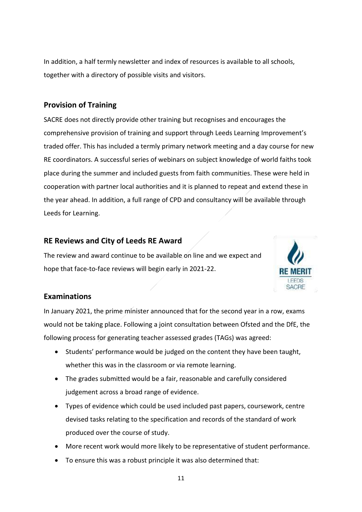In addition, a half termly newsletter and index of resources is available to all schools, together with a directory of possible visits and visitors.

#### **Provision of Training**

SACRE does not directly provide other training but recognises and encourages the comprehensive provision of training and support through Leeds Learning Improvement's traded offer. This has included a termly primary network meeting and a day course for new RE coordinators. A successful series of webinars on subject knowledge of world faiths took place during the summer and included guests from faith communities. These were held in cooperation with partner local authorities and it is planned to repeat and extend these in the year ahead. In addition, a full range of CPD and consultancy will be available through Leeds for Learning.

#### **RE Reviews and City of Leeds RE Award**

The review and award continue to be available on line and we expect and hope that face-to-face reviews will begin early in 2021-22.



#### **Examinations**

In January 2021, the prime minister announced that for the second year in a row, exams would not be taking place. Following a joint consultation between Ofsted and the DfE, the following process for generating teacher assessed grades (TAGs) was agreed:

- Students' performance would be judged on the content they have been taught, whether this was in the classroom or via remote learning.
- The grades submitted would be a fair, reasonable and carefully considered judgement across a broad range of evidence.
- Types of evidence which could be used included past papers, coursework, centre devised tasks relating to the specification and records of the standard of work produced over the course of study.
- More recent work would more likely to be representative of student performance.
- To ensure this was a robust principle it was also determined that: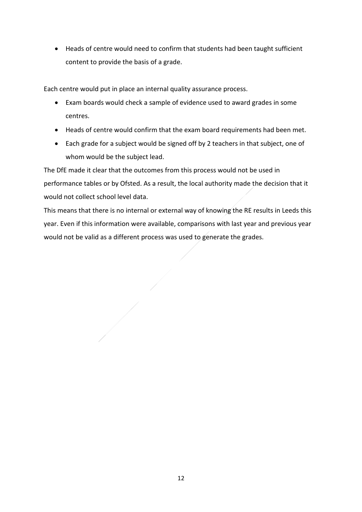• Heads of centre would need to confirm that students had been taught sufficient content to provide the basis of a grade.

Each centre would put in place an internal quality assurance process.

- Exam boards would check a sample of evidence used to award grades in some centres.
- Heads of centre would confirm that the exam board requirements had been met.
- Each grade for a subject would be signed off by 2 teachers in that subject, one of whom would be the subject lead.

The DfE made it clear that the outcomes from this process would not be used in performance tables or by Ofsted. As a result, the local authority made the decision that it would not collect school level data.

This means that there is no internal or external way of knowing the RE results in Leeds this year. Even if this information were available, comparisons with last year and previous year would not be valid as a different process was used to generate the grades.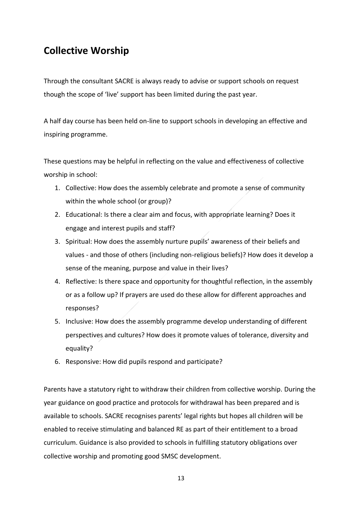## **Collective Worship**

Through the consultant SACRE is always ready to advise or support schools on request though the scope of 'live' support has been limited during the past year.

A half day course has been held on-line to support schools in developing an effective and inspiring programme.

These questions may be helpful in reflecting on the value and effectiveness of collective worship in school:

- 1. Collective: How does the assembly celebrate and promote a sense of community within the whole school (or group)?
- 2. Educational: Is there a clear aim and focus, with appropriate learning? Does it engage and interest pupils and staff?
- 3. Spiritual: How does the assembly nurture pupils' awareness of their beliefs and values - and those of others (including non-religious beliefs)? How does it develop a sense of the meaning, purpose and value in their lives?
- 4. Reflective: Is there space and opportunity for thoughtful reflection, in the assembly or as a follow up? If prayers are used do these allow for different approaches and responses?
- 5. Inclusive: How does the assembly programme develop understanding of different perspectives and cultures? How does it promote values of tolerance, diversity and equality?
- 6. Responsive: How did pupils respond and participate?

Parents have a statutory right to withdraw their children from collective worship. During the year guidance on good practice and protocols for withdrawal has been prepared and is available to schools. SACRE recognises parents' legal rights but hopes all children will be enabled to receive stimulating and balanced RE as part of their entitlement to a broad curriculum. Guidance is also provided to schools in fulfilling statutory obligations over collective worship and promoting good SMSC development.

13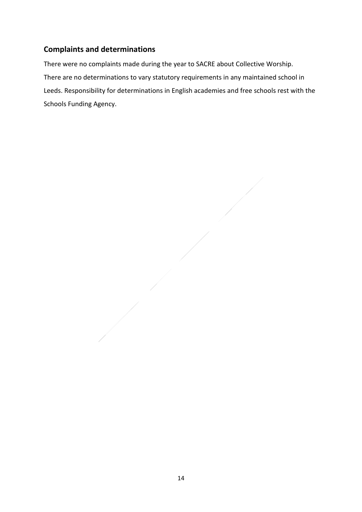#### **Complaints and determinations**

There were no complaints made during the year to SACRE about Collective Worship. There are no determinations to vary statutory requirements in any maintained school in Leeds. Responsibility for determinations in English academies and free schools rest with the Schools Funding Agency.

 $\overline{\phantom{a}}$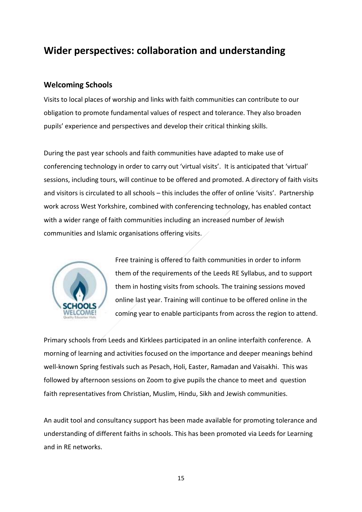## **Wider perspectives: collaboration and understanding**

#### **Welcoming Schools**

Visits to local places of worship and links with faith communities can contribute to our obligation to promote fundamental values of respect and tolerance. They also broaden pupils' experience and perspectives and develop their critical thinking skills.

During the past year schools and faith communities have adapted to make use of conferencing technology in order to carry out 'virtual visits'. It is anticipated that 'virtual' sessions, including tours, will continue to be offered and promoted. A directory of faith visits and visitors is circulated to all schools – this includes the offer of online 'visits'. Partnership work across West Yorkshire, combined with conferencing technology, has enabled contact with a wider range of faith communities including an increased number of Jewish communities and Islamic organisations offering visits.



Free training is offered to faith communities in order to inform them of the requirements of the Leeds RE Syllabus, and to support them in hosting visits from schools. The training sessions moved online last year. Training will continue to be offered online in the coming year to enable participants from across the region to attend.

Primary schools from Leeds and Kirklees participated in an online interfaith conference. A morning of learning and activities focused on the importance and deeper meanings behind well-known Spring festivals such as Pesach, Holi, Easter, Ramadan and Vaisakhi. This was followed by afternoon sessions on Zoom to give pupils the chance to meet and question faith representatives from Christian, Muslim, Hindu, Sikh and Jewish communities.

An audit tool and consultancy support has been made available for promoting tolerance and understanding of different faiths in schools. This has been promoted via Leeds for Learning and in RE networks.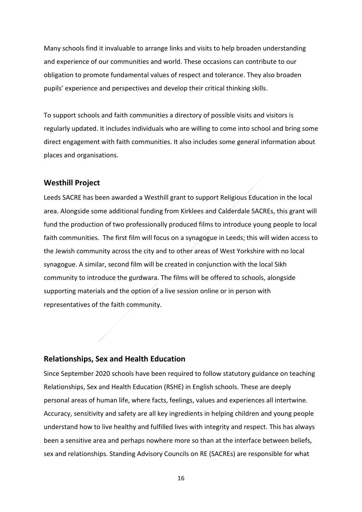Many schools find it invaluable to arrange links and visits to help broaden understanding and experience of our communities and world. These occasions can contribute to our obligation to promote fundamental values of respect and tolerance. They also broaden pupils' experience and perspectives and develop their critical thinking skills.

To support schools and faith communities a directory of possible visits and visitors is regularly updated. It includes individuals who are willing to come into school and bring some direct engagement with faith communities. It also includes some general information about places and organisations.

#### **Westhill Project**

Leeds SACRE has been awarded a Westhill grant to support Religious Education in the local area. Alongside some additional funding from Kirklees and Calderdale SACREs, this grant will fund the production of two professionally produced films to introduce young people to local faith communities. The first film will focus on a synagogue in Leeds; this will widen access to the Jewish community across the city and to other areas of West Yorkshire with no local synagogue. A similar, second film will be created in conjunction with the local Sikh community to introduce the gurdwara. The films will be offered to schools, alongside supporting materials and the option of a live session online or in person with representatives of the faith community.

#### **Relationships, Sex and Health Education**

Since September 2020 schools have been required to follow statutory guidance on teaching Relationships, Sex and Health Education (RSHE) in English schools. These are deeply personal areas of human life, where facts, feelings, values and experiences all intertwine. Accuracy, sensitivity and safety are all key ingredients in helping children and young people understand how to live healthy and fulfilled lives with integrity and respect. This has always been a sensitive area and perhaps nowhere more so than at the interface between beliefs, sex and relationships. Standing Advisory Councils on RE (SACREs) are responsible for what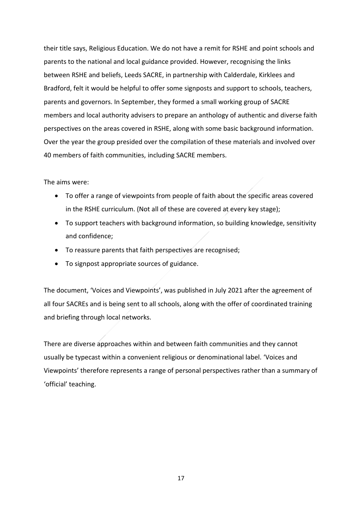their title says, Religious Education. We do not have a remit for RSHE and point schools and parents to the national and local guidance provided. However, recognising the links between RSHE and beliefs, Leeds SACRE, in partnership with Calderdale, Kirklees and Bradford, felt it would be helpful to offer some signposts and support to schools, teachers, parents and governors. In September, they formed a small working group of SACRE members and local authority advisers to prepare an anthology of authentic and diverse faith perspectives on the areas covered in RSHE, along with some basic background information. Over the year the group presided over the compilation of these materials and involved over 40 members of faith communities, including SACRE members.

The aims were:

- To offer a range of viewpoints from people of faith about the specific areas covered in the RSHE curriculum. (Not all of these are covered at every key stage);
- To support teachers with background information, so building knowledge, sensitivity and confidence;
- To reassure parents that faith perspectives are recognised;
- To signpost appropriate sources of guidance.

The document, 'Voices and Viewpoints', was published in July 2021 after the agreement of all four SACREs and is being sent to all schools, along with the offer of coordinated training and briefing through local networks.

There are diverse approaches within and between faith communities and they cannot usually be typecast within a convenient religious or denominational label. 'Voices and Viewpoints' therefore represents a range of personal perspectives rather than a summary of 'official' teaching.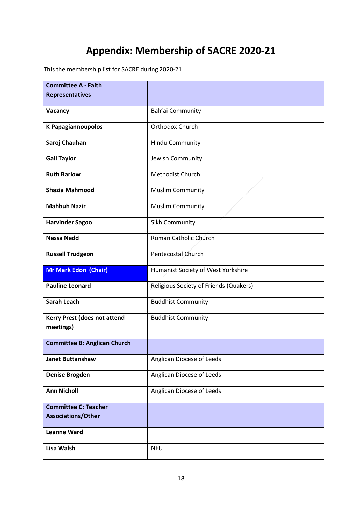## **Appendix: Membership of SACRE 2020-21**

This the membership list for SACRE during 2020-21

| <b>Committee A - Faith</b>                               |                                        |
|----------------------------------------------------------|----------------------------------------|
| <b>Representatives</b>                                   |                                        |
|                                                          |                                        |
| Vacancy                                                  | Bah'ai Community                       |
| <b>K Papagiannoupolos</b>                                | Orthodox Church                        |
| Saroj Chauhan                                            | Hindu Community                        |
| <b>Gail Taylor</b>                                       | Jewish Community                       |
| <b>Ruth Barlow</b>                                       | Methodist Church                       |
| <b>Shazia Mahmood</b>                                    | <b>Muslim Community</b>                |
| <b>Mahbuh Nazir</b>                                      | <b>Muslim Community</b>                |
| <b>Harvinder Sagoo</b>                                   | Sikh Community                         |
| <b>Nessa Nedd</b>                                        | Roman Catholic Church                  |
| <b>Russell Trudgeon</b>                                  | Pentecostal Church                     |
|                                                          |                                        |
| <b>Mr Mark Edon (Chair)</b>                              | Humanist Society of West Yorkshire     |
| <b>Pauline Leonard</b>                                   | Religious Society of Friends (Quakers) |
| <b>Sarah Leach</b>                                       | <b>Buddhist Community</b>              |
| Kerry Prest (does not attend                             | <b>Buddhist Community</b>              |
| meetings)                                                |                                        |
| <b>Committee B: Anglican Church</b>                      |                                        |
| <b>Janet Buttanshaw</b>                                  | Anglican Diocese of Leeds              |
| <b>Denise Brogden</b>                                    | Anglican Diocese of Leeds              |
| <b>Ann Nicholl</b>                                       | Anglican Diocese of Leeds              |
|                                                          |                                        |
| <b>Committee C: Teacher</b><br><b>Associations/Other</b> |                                        |
| <b>Leanne Ward</b>                                       |                                        |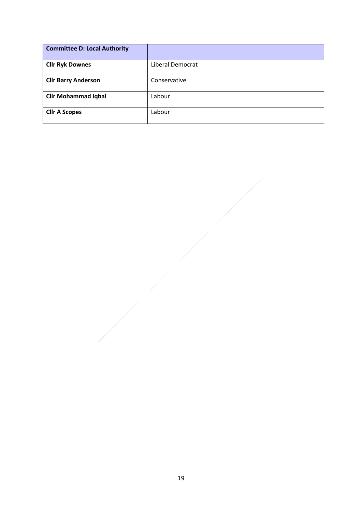| <b>Committee D: Local Authority</b> |                  |
|-------------------------------------|------------------|
| <b>Cllr Ryk Downes</b>              | Liberal Democrat |
| <b>Cllr Barry Anderson</b>          | Conservative     |
| <b>Cllr Mohammad Iqbal</b>          | Labour           |
| <b>Cllr A Scopes</b>                | Labour           |